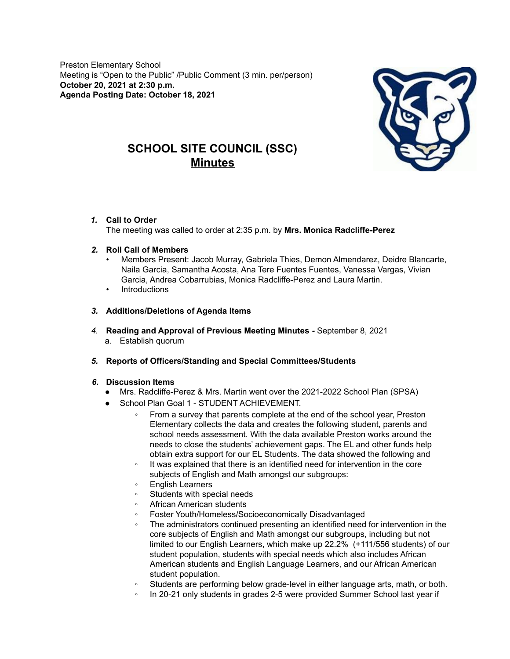Preston Elementary School Meeting is "Open to the Public" /Public Comment (3 min. per/person) **October 20, 2021 at 2:30 p.m. Agenda Posting Date: October 18, 2021**



# **SCHOOL SITE COUNCIL (SSC) Minutes**

*1.* **Call to Order**

The meeting was called to order at 2:35 p.m. by **Mrs. Monica Radcliffe-Perez**

- *2.* **Roll Call of Members**
	- Members Present: Jacob Murray, Gabriela Thies, Demon Almendarez, Deidre Blancarte, Naila Garcia, Samantha Acosta, Ana Tere Fuentes Fuentes, Vanessa Vargas, Vivian Garcia, Andrea Cobarrubias, Monica Radcliffe-Perez and Laura Martin.
	- **Introductions**
- *3.* **Additions/Deletions of Agenda Items**
- *4.* **Reading and Approval of Previous Meeting Minutes** *-* September 8, 2021 a. Establish quorum
- *5.* **Reports of Officers/Standing and Special Committees/Students**

# *6.* **Discussion Items**

- Mrs. Radcliffe-Perez & Mrs. Martin went over the 2021-2022 School Plan (SPSA)
- School Plan Goal 1 STUDENT ACHIEVEMENT.
	- From a survey that parents complete at the end of the school year, Preston Elementary collects the data and creates the following student, parents and school needs assessment. With the data available Preston works around the needs to close the students' achievement gaps. The EL and other funds help obtain extra support for our EL Students. The data showed the following and
	- It was explained that there is an identified need for intervention in the core subjects of English and Math amongst our subgroups:
	- English Learners
	- Students with special needs
	- African American students
	- Foster Youth/Homeless/Socioeconomically Disadvantaged
	- The administrators continued presenting an identified need for intervention in the core subjects of English and Math amongst our subgroups, including but not limited to our English Learners, which make up 22.2% (+111/556 students) of our student population, students with special needs which also includes African American students and English Language Learners, and our African American student population.
	- Students are performing below grade-level in either language arts, math, or both.
	- In 20-21 only students in grades 2-5 were provided Summer School last year if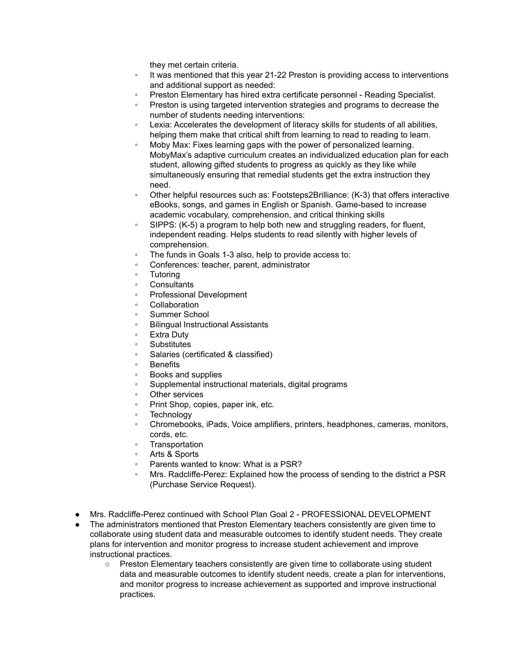they met certain criteria.

- It was mentioned that this year 21-22 Preston is providing access to interventions and additional support as needed:
- Preston Elementary has hired extra certificate personnel Reading Specialist.
- Preston is using targeted intervention strategies and programs to decrease the number of students needing interventions:
- Lexia: Accelerates the development of literacy skills for students of all abilities, helping them make that critical shift from learning to read to reading to learn.
- Moby Max: Fixes learning gaps with the power of personalized learning. MobyMax's adaptive curriculum creates an individualized education plan for each student, allowing gifted students to progress as quickly as they like while simultaneously ensuring that remedial students get the extra instruction they need.
- Other helpful resources such as: Footsteps2Brilliance: (K-3) that offers interactive eBooks, songs, and games in English or Spanish. Game-based to increase academic vocabulary, comprehension, and critical thinking skills
- SIPPS: (K-5) a program to help both new and struggling readers, for fluent, independent reading. Helps students to read silently with higher levels of comprehension.
- The funds in Goals 1-3 also, help to provide access to:
- Conferences: teacher, parent, administrator
- **Tutoring**
- **Consultants**
- Professional Development
- **Collaboration**
- Summer School
- Bilingual Instructional Assistants
- **Extra Duty**
- **Substitutes**
- Salaries (certificated & classified)
- **Benefits**
- Books and supplies
- Supplemental instructional materials, digital programs
- Other services
- Print Shop, copies, paper ink, etc.
- **Technology**
- Chromebooks, iPads, Voice amplifiers, printers, headphones, cameras, monitors, cords, etc.
- Transportation
- Arts & Sports
- Parents wanted to know: What is a PSR?
- Mrs. Radcliffe-Perez: Explained how the process of sending to the district a PSR (Purchase Service Request).
- Mrs. Radcliffe-Perez continued with School Plan Goal 2 PROFESSIONAL DEVELOPMENT
- The administrators mentioned that Preston Elementary teachers consistently are given time to collaborate using student data and measurable outcomes to identify student needs. They create plans for intervention and monitor progress to increase student achievement and improve instructional practices.
	- Preston Elementary teachers consistently are given time to collaborate using student data and measurable outcomes to identify student needs, create a plan for interventions, and monitor progress to increase achievement as supported and improve instructional practices.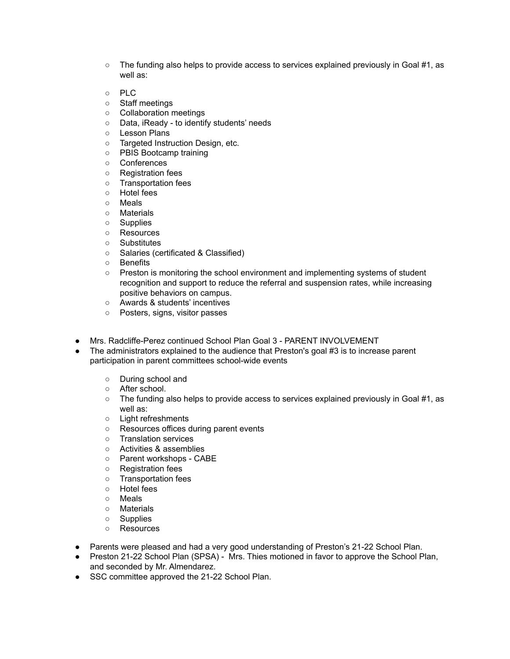- $\circ$  The funding also helps to provide access to services explained previously in Goal #1, as well as:
- PLC
- Staff meetings
- Collaboration meetings
- Data, iReady to identify students' needs
- Lesson Plans
- Targeted Instruction Design, etc.
- PBIS Bootcamp training
- Conferences
- Registration fees
- Transportation fees
- Hotel fees
- Meals
- Materials
- Supplies
- Resources
- Substitutes
- Salaries (certificated & Classified)
- Benefits
- Preston is monitoring the school environment and implementing systems of student recognition and support to reduce the referral and suspension rates, while increasing positive behaviors on campus.
- Awards & students' incentives
- Posters, signs, visitor passes
- Mrs. Radcliffe-Perez continued School Plan Goal 3 PARENT INVOLVEMENT
- The administrators explained to the audience that Preston's goal #3 is to increase parent participation in parent committees school-wide events
	- During school and
	- After school.
	- The funding also helps to provide access to services explained previously in Goal #1, as well as:
	- Light refreshments
	- Resources offices during parent events
	- Translation services
	- Activities & assemblies
	- Parent workshops CABE
	- Registration fees
	- Transportation fees
	- Hotel fees
	- Meals
	- Materials
	- Supplies
	- Resources
- Parents were pleased and had a very good understanding of Preston's 21-22 School Plan.
- Preston 21-22 School Plan (SPSA) Mrs. Thies motioned in favor to approve the School Plan, and seconded by Mr. Almendarez.
- SSC committee approved the 21-22 School Plan.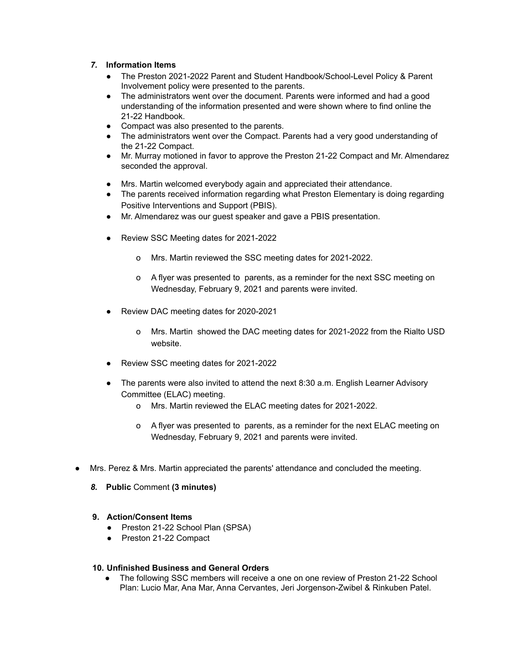# *7.* **Information Items**

- The Preston 2021-2022 Parent and Student Handbook/School-Level Policy & Parent Involvement policy were presented to the parents.
- The administrators went over the document. Parents were informed and had a good understanding of the information presented and were shown where to find online the 21-22 Handbook.
- Compact was also presented to the parents.
- The administrators went over the Compact. Parents had a very good understanding of the 21-22 Compact.
- Mr. Murray motioned in favor to approve the Preston 21-22 Compact and Mr. Almendarez seconded the approval.
- Mrs. Martin welcomed everybody again and appreciated their attendance.
- The parents received information regarding what Preston Elementary is doing regarding Positive Interventions and Support (PBIS).
- Mr. Almendarez was our guest speaker and gave a PBIS presentation.
- Review SSC Meeting dates for 2021-2022
	- o Mrs. Martin reviewed the SSC meeting dates for 2021-2022.
	- o A flyer was presented to parents, as a reminder for the next SSC meeting on Wednesday, February 9, 2021 and parents were invited.
- Review DAC meeting dates for 2020-2021
	- o Mrs. Martin showed the DAC meeting dates for 2021-2022 from the Rialto USD website.
- Review SSC meeting dates for 2021-2022
- The parents were also invited to attend the next 8:30 a.m. English Learner Advisory Committee (ELAC) meeting.
	- o Mrs. Martin reviewed the ELAC meeting dates for 2021-2022.
	- o A flyer was presented to parents, as a reminder for the next ELAC meeting on Wednesday, February 9, 2021 and parents were invited.
- Mrs. Perez & Mrs. Martin appreciated the parents' attendance and concluded the meeting.
	- *8.* **Public** Comment **(3 minutes)**

## **9. Action/Consent Items**

- Preston 21-22 School Plan (SPSA)
- Preston 21-22 Compact

### **10. Unfinished Business and General Orders**

The following SSC members will receive a one on one review of Preston 21-22 School Plan: Lucio Mar, Ana Mar, Anna Cervantes, Jeri Jorgenson-Zwibel & Rinkuben Patel.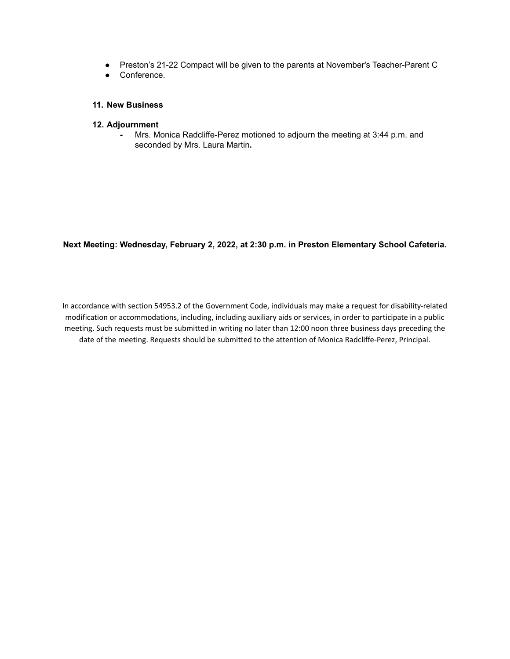- Preston's 21-22 Compact will be given to the parents at November's Teacher-Parent C
- Conference.

## **11. New Business**

#### **12. Adjournment**

**-** Mrs. Monica Radcliffe-Perez motioned to adjourn the meeting at 3:44 p.m. and seconded by Mrs. Laura Martin**.**

**Next Meeting: Wednesday, February 2, 2022, at 2:30 p.m. in Preston Elementary School Cafeteria.**

In accordance with section 54953.2 of the Government Code, individuals may make a request for disability-related modification or accommodations, including, including auxiliary aids or services, in order to participate in a public meeting. Such requests must be submitted in writing no later than 12:00 noon three business days preceding the date of the meeting. Requests should be submitted to the attention of Monica Radcliffe-Perez, Principal.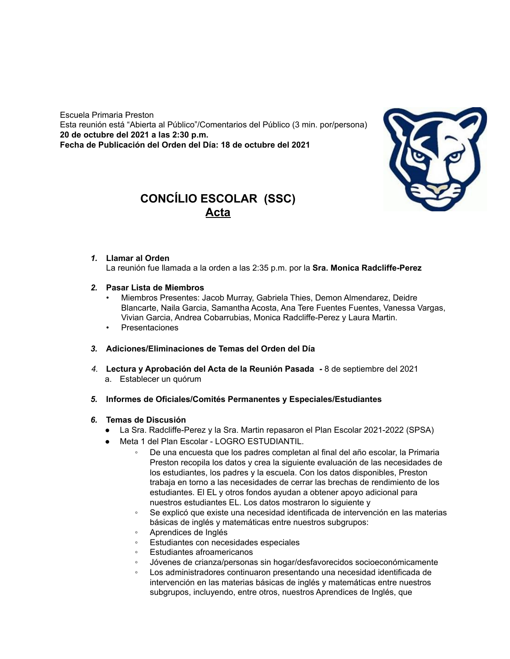Escuela Primaria Preston Esta reunión está "Abierta al Público"/Comentarios del Público (3 min. por/persona) **20 de octubre del 2021 a las 2:30 p.m. Fecha de Publicación del Orden del Día: 18 de octubre del 2021**



# **CONCÍLIO ESCOLAR (SSC) Acta**

## *1.* **Llamar al Orden**

La reunión fue llamada a la orden a las 2:35 p.m. por la **Sra. Monica Radcliffe-Perez**

- *2.* **Pasar Lista de Miembros**
	- Miembros Presentes: Jacob Murray, Gabriela Thies, Demon Almendarez, Deidre Blancarte, Naila Garcia, Samantha Acosta, Ana Tere Fuentes Fuentes, Vanessa Vargas, Vivian Garcia, Andrea Cobarrubias, Monica Radcliffe-Perez y Laura Martin.
	- Presentaciones
- *3.* **Adiciones/Eliminaciones de Temas del Orden del Día**
- *4.* **Lectura y Aprobación del Acta de la Reunión Pasada** *-* 8 de septiembre del 2021 a. Establecer un quórum
- *5.* **Informes de Oficiales/Comités Permanentes y Especiales/Estudiantes**

#### *6.* **Temas de Discusión**

- La Sra. Radcliffe-Perez y la Sra. Martin repasaron el Plan Escolar 2021-2022 (SPSA)
- Meta 1 del Plan Escolar LOGRO ESTUDIANTIL.
	- De una encuesta que los padres completan al final del año escolar, la Primaria Preston recopila los datos y crea la siguiente evaluación de las necesidades de los estudiantes, los padres y la escuela. Con los datos disponibles, Preston trabaja en torno a las necesidades de cerrar las brechas de rendimiento de los estudiantes. El EL y otros fondos ayudan a obtener apoyo adicional para nuestros estudiantes EL. Los datos mostraron lo siguiente y
	- Se explicó que existe una necesidad identificada de intervención en las materias básicas de inglés y matemáticas entre nuestros subgrupos:
	- Aprendices de Inglés
	- Estudiantes con necesidades especiales
	- Estudiantes afroamericanos
	- Jóvenes de crianza/personas sin hogar/desfavorecidos socioeconómicamente
	- Los administradores continuaron presentando una necesidad identificada de intervención en las materias básicas de inglés y matemáticas entre nuestros subgrupos, incluyendo, entre otros, nuestros Aprendices de Inglés, que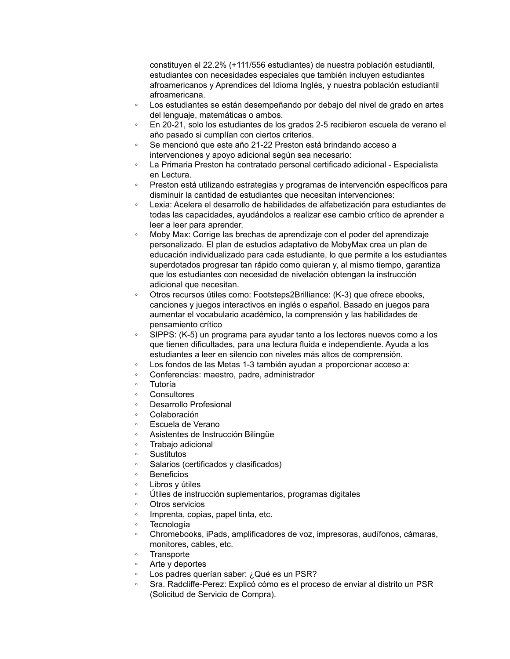constituyen el 22.2% (+111/556 estudiantes) de nuestra población estudiantil, estudiantes con necesidades especiales que también incluyen estudiantes afroamericanos y Aprendices del Idioma Inglés, y nuestra población estudiantil afroamericana.

- Los estudiantes se están desempeñando por debajo del nivel de grado en artes del lenguaje, matemáticas o ambos.
- En 20-21, solo los estudiantes de los grados 2-5 recibieron escuela de verano el año pasado si cumplían con ciertos criterios.
- Se mencionó que este año 21-22 Preston está brindando acceso a intervenciones y apoyo adicional según sea necesario:
- La Primaria Preston ha contratado personal certificado adicional Especialista en Lectura.
- Preston está utilizando estrategias y programas de intervención específicos para disminuir la cantidad de estudiantes que necesitan intervenciones:
- Lexia: Acelera el desarrollo de habilidades de alfabetización para estudiantes de todas las capacidades, ayudándolos a realizar ese cambio crítico de aprender a leer a leer para aprender.
- Moby Max: Corrige las brechas de aprendizaje con el poder del aprendizaje personalizado. El plan de estudios adaptativo de MobyMax crea un plan de educación individualizado para cada estudiante, lo que permite a los estudiantes superdotados progresar tan rápido como quieran y, al mismo tiempo, garantiza que los estudiantes con necesidad de nivelación obtengan la instrucción adicional que necesitan.
- Otros recursos útiles como: Footsteps2Brilliance: (K-3) que ofrece ebooks, canciones y juegos interactivos en inglés o español. Basado en juegos para aumentar el vocabulario académico, la comprensión y las habilidades de pensamiento crítico
- SIPPS: (K-5) un programa para ayudar tanto a los lectores nuevos como a los que tienen dificultades, para una lectura fluida e independiente. Ayuda a los estudiantes a leer en silencio con niveles más altos de comprensión.
- Los fondos de las Metas 1-3 también ayudan a proporcionar acceso a:
- Conferencias: maestro, padre, administrador
- Tutoría
- **Consultores**
- Desarrollo Profesional
- Colaboración
- Escuela de Verano
- Asistentes de Instrucción Bilingüe
- Trabajo adicional
- Sustitutos
- Salarios (certificados y clasificados)
- **Beneficios**
- Libros y útiles
- Útiles de instrucción suplementarios, programas digitales
- Otros servicios
- Imprenta, copias, papel tinta, etc.
- Tecnología
- Chromebooks, iPads, amplificadores de voz, impresoras, audífonos, cámaras, monitores, cables, etc.
- **Transporte**
- Arte y deportes
- Los padres querían saber: ¿Qué es un PSR?
- Sra. Radcliffe-Perez: Explicó cómo es el proceso de enviar al distrito un PSR (Solicitud de Servicio de Compra).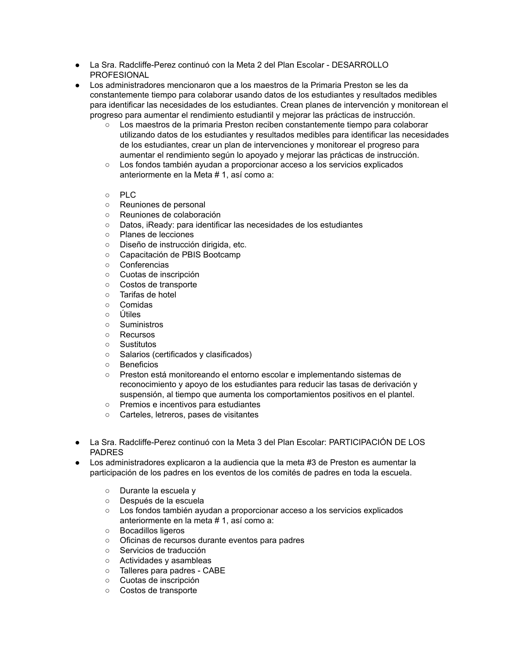- La Sra. Radcliffe-Perez continuó con la Meta 2 del Plan Escolar DESARROLLO PROFESIONAL
- Los administradores mencionaron que a los maestros de la Primaria Preston se les da constantemente tiempo para colaborar usando datos de los estudiantes y resultados medibles para identificar las necesidades de los estudiantes. Crean planes de intervención y monitorean el progreso para aumentar el rendimiento estudiantil y mejorar las prácticas de instrucción.
	- Los maestros de la primaria Preston reciben constantemente tiempo para colaborar utilizando datos de los estudiantes y resultados medibles para identificar las necesidades de los estudiantes, crear un plan de intervenciones y monitorear el progreso para aumentar el rendimiento según lo apoyado y mejorar las prácticas de instrucción.
	- Los fondos también ayudan a proporcionar acceso a los servicios explicados anteriormente en la Meta # 1, así como a:
	- PLC
	- Reuniones de personal
	- Reuniones de colaboración
	- Datos, iReady: para identificar las necesidades de los estudiantes
	- Planes de lecciones
	- Diseño de instrucción dirigida, etc.
	- Capacitación de PBIS Bootcamp
	- Conferencias
	- Cuotas de inscripción
	- Costos de transporte
	- Tarifas de hotel
	- Comidas
	- Útiles
	- Suministros
	- Recursos
	- Sustitutos
	- Salarios (certificados y clasificados)
	- Beneficios
	- Preston está monitoreando el entorno escolar e implementando sistemas de reconocimiento y apoyo de los estudiantes para reducir las tasas de derivación y suspensión, al tiempo que aumenta los comportamientos positivos en el plantel.
	- Premios e incentivos para estudiantes
	- Carteles, letreros, pases de visitantes
- La Sra. Radcliffe-Perez continuó con la Meta 3 del Plan Escolar: PARTICIPACIÓN DE LOS PADRES
- Los administradores explicaron a la audiencia que la meta #3 de Preston es aumentar la participación de los padres en los eventos de los comités de padres en toda la escuela.
	- Durante la escuela y
	- Después de la escuela
	- Los fondos también ayudan a proporcionar acceso a los servicios explicados anteriormente en la meta # 1, así como a:
	- Bocadillos ligeros
	- Oficinas de recursos durante eventos para padres
	- Servicios de traducción
	- Actividades y asambleas
	- Talleres para padres CABE
	- Cuotas de inscripción
	- Costos de transporte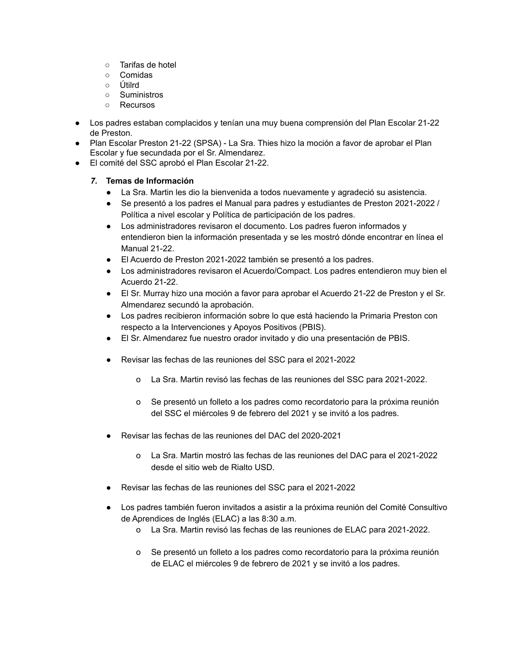- Tarifas de hotel
- Comidas
- Útilrd
- Suministros
- Recursos
- Los padres estaban complacidos y tenían una muy buena comprensión del Plan Escolar 21-22 de Preston.
- Plan Escolar Preston 21-22 (SPSA) La Sra. Thies hizo la moción a favor de aprobar el Plan Escolar y fue secundada por el Sr. Almendarez.
- El comité del SSC aprobó el Plan Escolar 21-22.

# *7.* **Temas de Información**

- La Sra. Martin les dio la bienvenida a todos nuevamente y agradeció su asistencia.
- Se presentó a los padres el Manual para padres y estudiantes de Preston 2021-2022 / Política a nivel escolar y Política de participación de los padres.
- Los administradores revisaron el documento. Los padres fueron informados y entendieron bien la información presentada y se les mostró dónde encontrar en línea el Manual 21-22.
- El Acuerdo de Preston 2021-2022 también se presentó a los padres.
- Los administradores revisaron el Acuerdo/Compact. Los padres entendieron muy bien el Acuerdo 21-22.
- El Sr. Murray hizo una moción a favor para aprobar el Acuerdo 21-22 de Preston y el Sr. Almendarez secundó la aprobación.
- Los padres recibieron información sobre lo que está haciendo la Primaria Preston con respecto a la Intervenciones y Apoyos Positivos (PBIS).
- El Sr. Almendarez fue nuestro orador invitado y dio una presentación de PBIS.
- Revisar las fechas de las reuniones del SSC para el 2021-2022
	- o La Sra. Martin revisó las fechas de las reuniones del SSC para 2021-2022.
	- o Se presentó un folleto a los padres como recordatorio para la próxima reunión del SSC el miércoles 9 de febrero del 2021 y se invitó a los padres.
- Revisar las fechas de las reuniones del DAC del 2020-2021
	- o La Sra. Martin mostró las fechas de las reuniones del DAC para el 2021-2022 desde el sitio web de Rialto USD.
- Revisar las fechas de las reuniones del SSC para el 2021-2022
- Los padres también fueron invitados a asistir a la próxima reunión del Comité Consultivo de Aprendices de Inglés (ELAC) a las 8:30 a.m.
	- o La Sra. Martin revisó las fechas de las reuniones de ELAC para 2021-2022.
	- o Se presentó un folleto a los padres como recordatorio para la próxima reunión de ELAC el miércoles 9 de febrero de 2021 y se invitó a los padres.